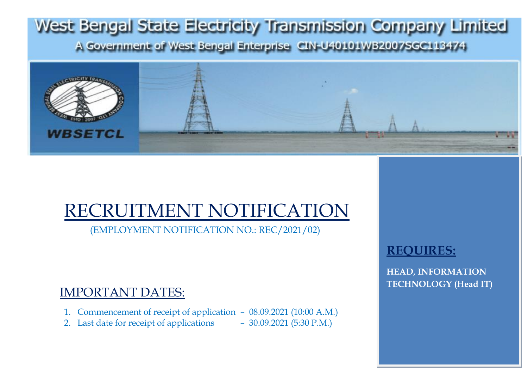

# RECRUITMENT NOTIFICATION

(EMPLOYMENT NOTIFICATION NO.: REC/2021/02)

# IMPORTANT DATES:

- 1. Commencement of receipt of application 08.09.2021 (10:00 A.M.)
- 2. Last date for receipt of applications 30.09.2021 (5:30 P.M.)

## **REQUIRES:**

**HEAD, INFORMATION TECHNOLOGY (Head IT)**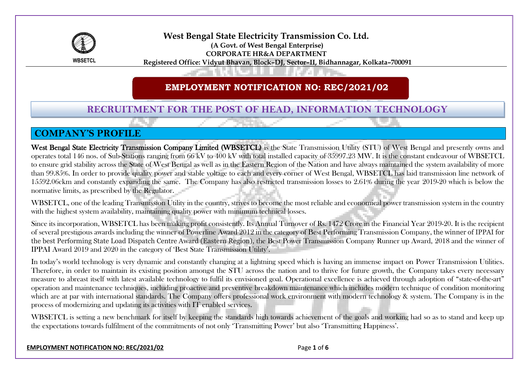

**West Bengal State Electricity Transmission Co. Ltd. (A Govt. of West Bengal Enterprise) CORPORATE HR&A DEPARTMENT Registered Office: Vidyut Bhavan, Block–DJ, Sector–II, Bidhannagar, Kolkata–700091**

#### **EMPLOYMENT NOTIFICATION NO: REC/2021/02**

#### **RECRUITMENT FOR THE POST OF HEAD, INFORMATION TECHNOLOGY**

#### **COMPANY'S PROFILE**

West Bengal State Electricity Transmission Company Limited (WBSETCL) is the State Transmission Utility (STU) of West Bengal and presently owns and operates total 146 nos. of Sub-Stations ranging from 66 kV to 400 kV with total installed capacity of 35997.23 MW. It is the constant endeavour of WBSETCL to ensure grid stability across the State of West Bengal as well as in the Eastern Region of the Nation and have always maintained the system availability of more than 99.85%. In order to provide quality power and stable voltage to each and every corner of West Bengal, WBSETCL has laid transmission line network of 15592.06ckm and constantly expanding the same. The Company has also restricted transmission losses to 2.61% during the year 2019-20 which is below the normative limits, as prescribed by the Regulator.

WBSETCL, one of the leading Transmission Utility in the country, strives to become the most reliable and economical power transmission system in the country with the highest system availability, maintaining quality power with minimum technical losses.

Since its incorporation, WBSETCL has been making profit consistently. Its Annual Turnover of Rs. 1472 Crore in the Financial Year 2019-20. It is the recipient of several prestigious awards including the winner of Powerline Award 2012 in the category of Best Performing Transmission Company, the winner of IPPAI for the best Performing State Load Dispatch Centre Award (Eastern Region), the Best Power Transmission Company Runner up Award, 2018 and the winner of IPPAI Award 2019 and 2020 in the category of 'Best State Transmission Utility'.

In today's world technology is very dynamic and constantly changing at a lightning speed which is having an immense impact on Power Transmission Utilities. Therefore, in order to maintain its existing position amongst the STU across the nation and to thrive for future growth, the Company takes every necessary measure to abreast itself with latest available technology to fulfil its envisioned goal. Operational excellence is achieved through adoption of "state-of-the-art" operation and maintenance techniques, including proactive and preventive breakdown maintenance which includes modern technique of condition monitoring which are at par with international standards. The Company offers professional work environment with modern technology & system. The Company is in the process of modernizing and updating its activities with IT enabled services.

WBSETCL is setting a new benchmark for itself by keeping the standards high towards achievement of the goals and working had so as to stand and keep up the expectations towards fulfilment of the commitments of not only 'Transmitting Power' but also 'Transmitting Happiness'.

**EMPLOYMENT NOTIFICATION NO: REC/2021/02** Page **1** of **6**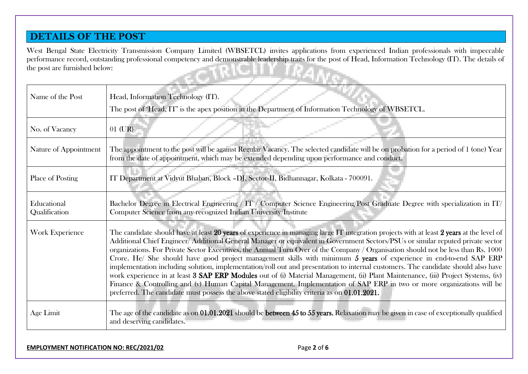#### **DETAILS OF THE POST**

West Bengal State Electricity Transmission Company Limited (WBSETCL) invites applications from experienced Indian professionals with impeccable performance record, outstanding professional competency and demonstrable leadership traits for the post of Head, Information Technology (IT). The details of the post are furnished below: n.

| Name of the Post             | Head, Information Technology (IT).                                                                                                                                                                                                                                                                                                                                                                                                                                                                                                                                                                                                                                                                                                                                                                                                                                                                                                                                                                                                           |
|------------------------------|----------------------------------------------------------------------------------------------------------------------------------------------------------------------------------------------------------------------------------------------------------------------------------------------------------------------------------------------------------------------------------------------------------------------------------------------------------------------------------------------------------------------------------------------------------------------------------------------------------------------------------------------------------------------------------------------------------------------------------------------------------------------------------------------------------------------------------------------------------------------------------------------------------------------------------------------------------------------------------------------------------------------------------------------|
|                              | The post of 'Head, IT' is the apex position in the Department of Information Technology of WBSETCL.                                                                                                                                                                                                                                                                                                                                                                                                                                                                                                                                                                                                                                                                                                                                                                                                                                                                                                                                          |
| No. of Vacancy               | $01$ (UR)                                                                                                                                                                                                                                                                                                                                                                                                                                                                                                                                                                                                                                                                                                                                                                                                                                                                                                                                                                                                                                    |
| Nature of Appointment        | The appointment to the post will be against Regular Vacancy. The selected candidate will be on probation for a period of 1 (one) Year<br>from the date of appointment, which may be extended depending upon performance and conduct.                                                                                                                                                                                                                                                                                                                                                                                                                                                                                                                                                                                                                                                                                                                                                                                                         |
| Place of Posting             | IT Department at Vidyut Bhaban, Block -DJ, Sector-II, Bidhannagar, Kolkata - 700091.                                                                                                                                                                                                                                                                                                                                                                                                                                                                                                                                                                                                                                                                                                                                                                                                                                                                                                                                                         |
| Educational<br>Qualification | Bachelor Degree in Electrical Engineering / IT / Computer Science Engineering/Post Graduate Degree with specialization in IT/<br>Computer Science from any recognized Indian University/Institute                                                                                                                                                                                                                                                                                                                                                                                                                                                                                                                                                                                                                                                                                                                                                                                                                                            |
| Work Experience              | The candidate should have at least 20 years of experience in managing large IT integration projects with at least 2 years at the level of<br>Additional Chief Engineer/Additional General Manager or equivalent in Government Sectors/PSUs or similar reputed private sector<br>organizations. For Private Sector Executives, the Annual Turn Over of the Company / Organisation should not be less than Rs. 1000<br>Crore. He/ She should have good project management skills with minimum 5 years of experience in end-to-end SAP ERP<br>implementation including solution, implementation/roll out and presentation to internal customers. The candidate should also have<br>work experience in at least 3 SAP ERP Modules out of (i) Material Management, (ii) Plant Maintenance, (iii) Project Systems, (iv)<br>Finance & Controlling and (v) Human Capital Management. Implementation of SAP ERP in two or more organizations will be<br>preferred. The candidate must possess the above stated eligibility criteria as on 01.01.2021. |
| Age Limit                    | The age of the candidate as on 01.01.2021 should be between 45 to 55 years. Relaxation may be given in case of exceptionally qualified<br>and deserving candidates.                                                                                                                                                                                                                                                                                                                                                                                                                                                                                                                                                                                                                                                                                                                                                                                                                                                                          |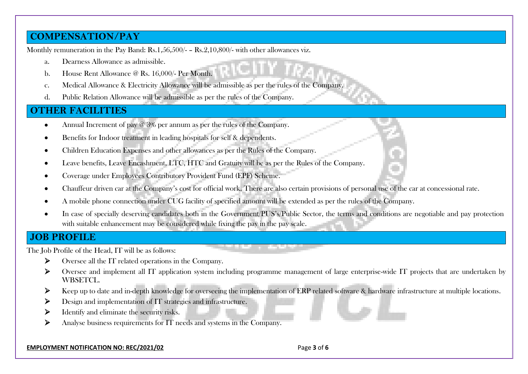#### **COMPENSATION/PAY**

Monthly remuneration in the Pay Band: Rs.1,56,500/- – Rs.2,10,800/- with other allowances viz.

- a. Dearness Allowance as admissible.
- b. House Rent Allowance @ Rs. 16,000/- Per Month.
- c. Medical Allowance & Electricity Allowance will be admissible as per the rules of the Company.
- d. Public Relation Allowance will be admissible as per the rules of the Company.

#### **OTHER FACILITIES**

- Annual Increment of pay @ 3% per annum as per the rules of the Company.
- Benefits for Indoor treatment in leading hospitals for self & dependents.
- Children Education Expenses and other allowances as per the Rules of the Company.
- Leave benefits, Leave Encashment, LTC, HTC and Gratuity will be as per the Rules of the Company.
- Coverage under Employees Contributory Provident Fund (EPF) Scheme.
- Chauffeur driven car at the Company's cost for official work. There are also certain provisions of personal use of the car at concessional rate.

**The County** 

- A mobile phone connection under CUG facility of specified amount will be extended as per the rules of the Company.
- In case of specially deserving candidates both in the Government/PUS's/Public Sector, the terms and conditions are negotiable and pay protection with suitable enhancement may be considered while fixing the pay in the pay scale.

#### **JOB PROFILE**

The Job Profile of the Head, IT will be as follows:

- ➢ Oversee all the IT related operations in the Company.
- ➢ Oversee and implement all IT application system including programme management of large enterprise-wide IT projects that are undertaken by WBSETCL.
- ➢ Keep up to date and in-depth knowledge for overseeing the implementation of ERP related software & hardware infrastructure at multiple locations.
- ➢ Design and implementation of IT strategies and infrastructure.
- ➢ Identify and eliminate the security risks.
- ➢ Analyse business requirements for IT needs and systems in the Company.

#### **EMPLOYMENT NOTIFICATION NO: REC/2021/02** Page **3** of **6**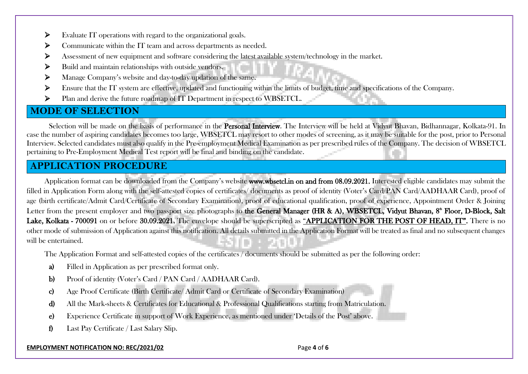- ➢ Evaluate IT operations with regard to the organizational goals.
- ➢ Communicate within the IT team and across departments as needed.
- ➢ Assessment of new equipment and software considering the latest available system/technology in the market.
- ➢ Build and maintain relationships with outside vendors.
- ➢ Manage Company's website and day-to-day updation of the same.
- ➢ Ensure that the IT system are effective, updated and functioning within the limits of budget, time and specifications of the Company.
- ➢ Plan and derive the future roadmap of IT Department in respect to WBSETCL.

### **MODE OF SELECTION**

Selection will be made on the basis of performance in the **Personal Interview**. The Interview will be held at Vidyut Bhavan, Bidhannagar, Kolkata-91. In case the number of aspiring candidates becomes too large, WBSETCL may resort to other modes of screening, as it may be suitable for the post, prior to Personal Interview. Selected candidates must also qualify in the Pre-employment Medical Examination as per prescribed rules of the Company. The decision of WBSETCL pertaining to Pre-Employment Medical Test report will be final and binding on the candidate.

#### **APPLICATION PROCEDURE**

Application format can be downloaded from the Company's website www.wbsetcl.in on and from 08.09.2021. Interested eligible candidates may submit the filled in Application Form along with the self-attested copies of certificates/ documents as proof of identity (Voter's Card/PAN Card/AADHAAR Card), proof of age (birth certificate/Admit Card/Certificate of Secondary Examination), proof of educational qualification, proof of experience, Appointment Order & Joining Letter from the present employer and two passport size photographs to **the General Manager (HR & A), WBSETCL, Vidyut Bhavan, 8<sup>ª</sup> Floor, D-Block, Salt** Lake, Kolkata - 700091 on or before 30.09.2021. The envelope should be superscripted as "APPLICATION FOR THE POST OF HEAD, IT". There is no other mode of submission of Application against this notification. All details submitted in the Application Format will be treated as final and no subsequent changes will be entertained.

The Application Format and self-attested copies of the certificates / documents should be submitted as per the following order:

- a) Filled in Application as per prescribed format only.
- b) Proof of identity (Voter's Card / PAN Card / AADHAAR Card).
- c) Age Proof Certificate (Birth Certificate/ Admit Card or Certificate of Secondary Examination)
- d) All the Mark-sheets & Certificates for Educational & Professional Qualifications starting from Matriculation.
- e) Experience Certificate in support of Work Experience, as mentioned under 'Details of the Post' above.
- f) Last Pay Certificate / Last Salary Slip.

#### **EMPLOYMENT NOTIFICATION NO: REC/2021/02** Page **4** of **6**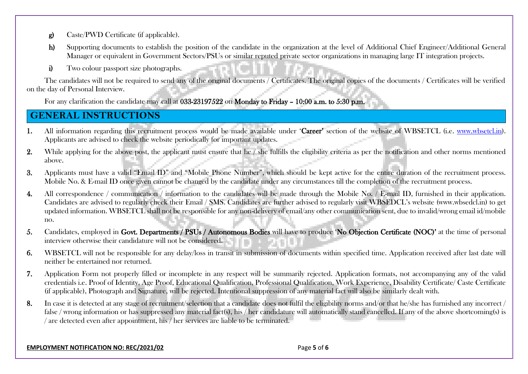- g) Caste/PWD Certificate (if applicable).
- h) Supporting documents to establish the position of the candidate in the organization at the level of Additional Chief Engineer/Additional General Manager or equivalent in Government Sectors/PSUs or similar reputed private sector organizations in managing large IT integration projects.
- i) Two colour passport size photographs.

The candidates will not be required to send any of the original documents / Certificates. The original copies of the documents / Certificates will be verified on the day of Personal Interview.

For any clarification the candidate may call at 033-23197522 on Monday to Friday – 10:00 a.m. to 5:30 p.m.

## **GENERAL INSTRUCTIONS**

- 1. All information regarding this recruitment process would be made available under 'Career' section of the website of WBSETCL (i.e. [www.wbsetcl.in\)](http://www.wbsetcl.in/). Applicants are advised to check the website periodically for important updates.
- 2. While applying for the above post, the applicant must ensure that he / she fulfills the eligibility criteria as per the notification and other norms mentioned above.
- 3. Applicants must have a valid "Email ID" and "Mobile Phone Number", which should be kept active for the entire duration of the recruitment process. Mobile No. & E-mail ID once given cannot be changed by the candidate under any circumstances till the completion of the recruitment process.
- 4. All correspondence / communication / information to the candidates will be made through the Mobile No. / E-mail ID, furnished in their application. Candidates are advised to regularly check their Email / SMS. Candidates are further advised to regularly visit WBSEDCL's website (www.wbsedcl.in) to get updated information. WBSETCL shall not be responsible for any non-delivery of email/any other communication sent, due to invalid/wrong email id/mobile no.
- 5. Candidates, employed in Govt. Departments / PSUs / Autonomous Bodies will have to produce 'No Objection Certificate (NOC)' at the time of personal interview otherwise their candidature will not be considered.
- 6. WBSETCL will not be responsible for any delay/loss in transit in submission of documents within specified time. Application received after last date will neither be entertained nor returned.
- 7. Application Form not properly filled or incomplete in any respect will be summarily rejected. Application formats, not accompanying any of the valid credentials i.e. Proof of Identity, Age Proof, Educational Qualification, Professional Qualification, Work Experience, Disability Certificate/ Caste Certificate (if applicable), Photograph and Signature, will be rejected. Intentional suppression of any material fact will also be similarly dealt with.
- 8. In case it is detected at any stage of recruitment/selection that a candidate does not fulfil the eligibility norms and/or that he/she has furnished any incorrect / false / wrong information or has suppressed any material fact(s), his / her candidature will automatically stand cancelled. If any of the above shortcoming(s) is / are detected even after appointment, his / her services are liable to be terminated.